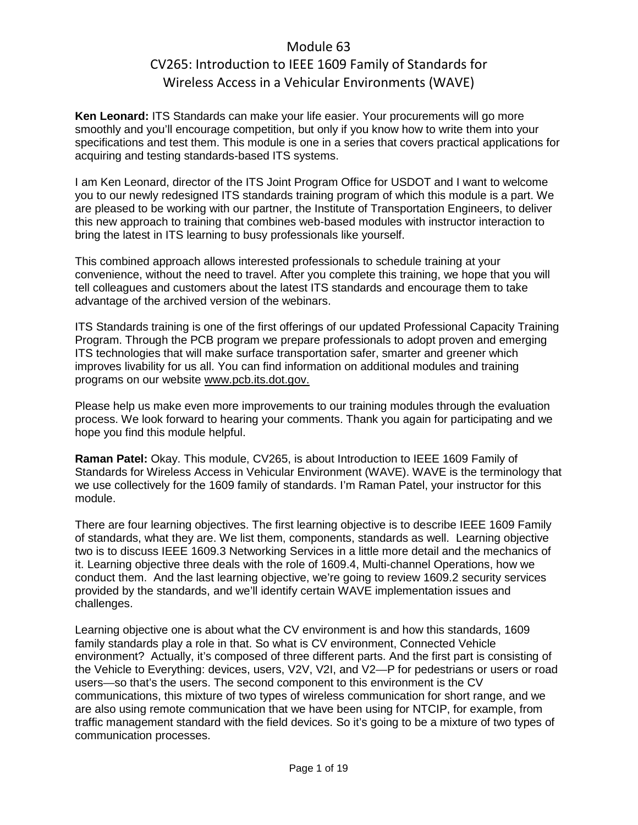**Ken Leonard:** ITS Standards can make your life easier. Your procurements will go more smoothly and you'll encourage competition, but only if you know how to write them into your specifications and test them. This module is one in a series that covers practical applications for acquiring and testing standards-based ITS systems.

I am Ken Leonard, director of the ITS Joint Program Office for USDOT and I want to welcome you to our newly redesigned ITS standards training program of which this module is a part. We are pleased to be working with our partner, the Institute of Transportation Engineers, to deliver this new approach to training that combines web-based modules with instructor interaction to bring the latest in ITS learning to busy professionals like yourself.

This combined approach allows interested professionals to schedule training at your convenience, without the need to travel. After you complete this training, we hope that you will tell colleagues and customers about the latest ITS standards and encourage them to take advantage of the archived version of the webinars.

ITS Standards training is one of the first offerings of our updated Professional Capacity Training Program. Through the PCB program we prepare professionals to adopt proven and emerging ITS technologies that will make surface transportation safer, smarter and greener which improves livability for us all. You can find information on additional modules and training programs on our website [www.pcb.its.dot.gov.](http://www.pcb.its.dot.gov/)

Please help us make even more improvements to our training modules through the evaluation process. We look forward to hearing your comments. Thank you again for participating and we hope you find this module helpful.

**Raman Patel:** Okay. This module, CV265, is about Introduction to IEEE 1609 Family of Standards for Wireless Access in Vehicular Environment (WAVE). WAVE is the terminology that we use collectively for the 1609 family of standards. I'm Raman Patel, your instructor for this module.

There are four learning objectives. The first learning objective is to describe IEEE 1609 Family of standards, what they are. We list them, components, standards as well. Learning objective two is to discuss IEEE 1609.3 Networking Services in a little more detail and the mechanics of it. Learning objective three deals with the role of 1609.4, Multi-channel Operations, how we conduct them. And the last learning objective, we're going to review 1609.2 security services provided by the standards, and we'll identify certain WAVE implementation issues and challenges.

Learning objective one is about what the CV environment is and how this standards, 1609 family standards play a role in that. So what is CV environment, Connected Vehicle environment? Actually, it's composed of three different parts. And the first part is consisting of the Vehicle to Everything: devices, users, V2V, V2I, and V2—P for pedestrians or users or road users—so that's the users. The second component to this environment is the CV communications, this mixture of two types of wireless communication for short range, and we are also using remote communication that we have been using for NTCIP, for example, from traffic management standard with the field devices. So it's going to be a mixture of two types of communication processes.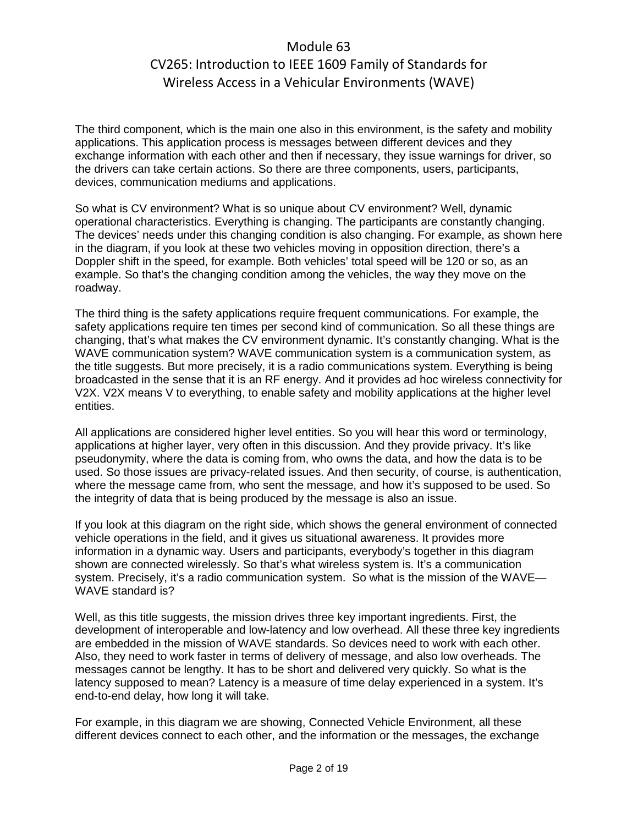The third component, which is the main one also in this environment, is the safety and mobility applications. This application process is messages between different devices and they exchange information with each other and then if necessary, they issue warnings for driver, so the drivers can take certain actions. So there are three components, users, participants, devices, communication mediums and applications.

So what is CV environment? What is so unique about CV environment? Well, dynamic operational characteristics. Everything is changing. The participants are constantly changing. The devices' needs under this changing condition is also changing. For example, as shown here in the diagram, if you look at these two vehicles moving in opposition direction, there's a Doppler shift in the speed, for example. Both vehicles' total speed will be 120 or so, as an example. So that's the changing condition among the vehicles, the way they move on the roadway.

The third thing is the safety applications require frequent communications. For example, the safety applications require ten times per second kind of communication. So all these things are changing, that's what makes the CV environment dynamic. It's constantly changing. What is the WAVE communication system? WAVE communication system is a communication system, as the title suggests. But more precisely, it is a radio communications system. Everything is being broadcasted in the sense that it is an RF energy. And it provides ad hoc wireless connectivity for V2X. V2X means V to everything, to enable safety and mobility applications at the higher level entities.

All applications are considered higher level entities. So you will hear this word or terminology, applications at higher layer, very often in this discussion. And they provide privacy. It's like pseudonymity, where the data is coming from, who owns the data, and how the data is to be used. So those issues are privacy-related issues. And then security, of course, is authentication, where the message came from, who sent the message, and how it's supposed to be used. So the integrity of data that is being produced by the message is also an issue.

If you look at this diagram on the right side, which shows the general environment of connected vehicle operations in the field, and it gives us situational awareness. It provides more information in a dynamic way. Users and participants, everybody's together in this diagram shown are connected wirelessly. So that's what wireless system is. It's a communication system. Precisely, it's a radio communication system. So what is the mission of the WAVE— WAVE standard is?

Well, as this title suggests, the mission drives three key important ingredients. First, the development of interoperable and low-latency and low overhead. All these three key ingredients are embedded in the mission of WAVE standards. So devices need to work with each other. Also, they need to work faster in terms of delivery of message, and also low overheads. The messages cannot be lengthy. It has to be short and delivered very quickly. So what is the latency supposed to mean? Latency is a measure of time delay experienced in a system. It's end-to-end delay, how long it will take.

For example, in this diagram we are showing, Connected Vehicle Environment, all these different devices connect to each other, and the information or the messages, the exchange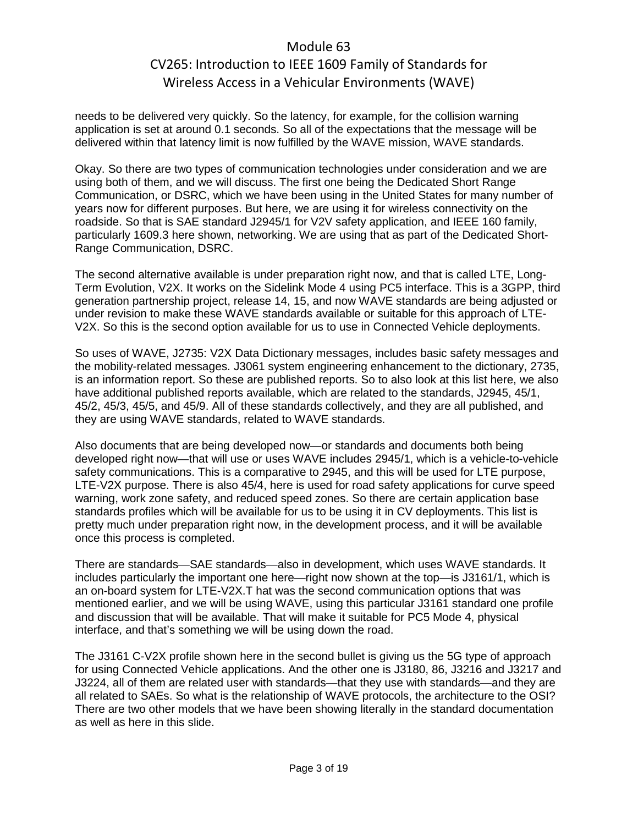needs to be delivered very quickly. So the latency, for example, for the collision warning application is set at around 0.1 seconds. So all of the expectations that the message will be delivered within that latency limit is now fulfilled by the WAVE mission, WAVE standards.

Okay. So there are two types of communication technologies under consideration and we are using both of them, and we will discuss. The first one being the Dedicated Short Range Communication, or DSRC, which we have been using in the United States for many number of years now for different purposes. But here, we are using it for wireless connectivity on the roadside. So that is SAE standard J2945/1 for V2V safety application, and IEEE 160 family, particularly 1609.3 here shown, networking. We are using that as part of the Dedicated Short-Range Communication, DSRC.

The second alternative available is under preparation right now, and that is called LTE, Long-Term Evolution, V2X. It works on the Sidelink Mode 4 using PC5 interface. This is a 3GPP, third generation partnership project, release 14, 15, and now WAVE standards are being adjusted or under revision to make these WAVE standards available or suitable for this approach of LTE-V2X. So this is the second option available for us to use in Connected Vehicle deployments.

So uses of WAVE, J2735: V2X Data Dictionary messages, includes basic safety messages and the mobility-related messages. J3061 system engineering enhancement to the dictionary, 2735, is an information report. So these are published reports. So to also look at this list here, we also have additional published reports available, which are related to the standards, J2945, 45/1, 45/2, 45/3, 45/5, and 45/9. All of these standards collectively, and they are all published, and they are using WAVE standards, related to WAVE standards.

Also documents that are being developed now—or standards and documents both being developed right now—that will use or uses WAVE includes 2945/1, which is a vehicle-to-vehicle safety communications. This is a comparative to 2945, and this will be used for LTE purpose, LTE-V2X purpose. There is also 45/4, here is used for road safety applications for curve speed warning, work zone safety, and reduced speed zones. So there are certain application base standards profiles which will be available for us to be using it in CV deployments. This list is pretty much under preparation right now, in the development process, and it will be available once this process is completed.

There are standards—SAE standards—also in development, which uses WAVE standards. It includes particularly the important one here—right now shown at the top—is J3161/1, which is an on-board system for LTE-V2X.T hat was the second communication options that was mentioned earlier, and we will be using WAVE, using this particular J3161 standard one profile and discussion that will be available. That will make it suitable for PC5 Mode 4, physical interface, and that's something we will be using down the road.

The J3161 C-V2X profile shown here in the second bullet is giving us the 5G type of approach for using Connected Vehicle applications. And the other one is J3180, 86, J3216 and J3217 and J3224, all of them are related user with standards—that they use with standards—and they are all related to SAEs. So what is the relationship of WAVE protocols, the architecture to the OSI? There are two other models that we have been showing literally in the standard documentation as well as here in this slide.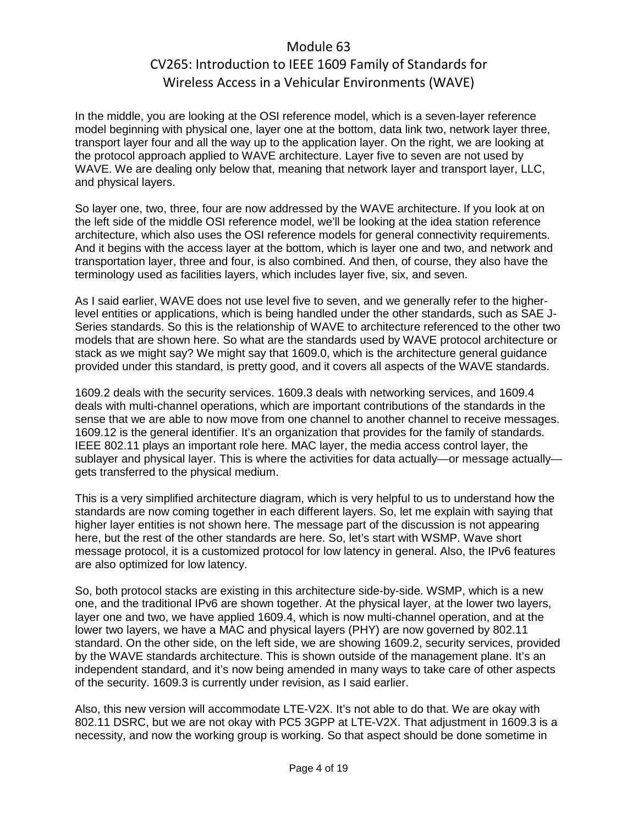In the middle, you are looking at the OSI reference model, which is a seven-layer reference model beginning with physical one, layer one at the bottom, data link two, network layer three, transport layer four and all the way up to the application layer. On the right, we are looking at the protocol approach applied to WAVE architecture. Layer five to seven are not used by WAVE. We are dealing only below that, meaning that network layer and transport layer, LLC, and physical layers.

So layer one, two, three, four are now addressed by the WAVE architecture. If you look at on the left side of the middle OSI reference model, we'll be looking at the idea station reference architecture, which also uses the OSI reference models for general connectivity requirements. And it begins with the access layer at the bottom, which is layer one and two, and network and transportation layer, three and four, is also combined. And then, of course, they also have the terminology used as facilities layers, which includes layer five, six, and seven.

As I said earlier, WAVE does not use level five to seven, and we generally refer to the higherlevel entities or applications, which is being handled under the other standards, such as SAE J-Series standards. So this is the relationship of WAVE to architecture referenced to the other two models that are shown here. So what are the standards used by WAVE protocol architecture or stack as we might say? We might say that 1609.0, which is the architecture general guidance provided under this standard, is pretty good, and it covers all aspects of the WAVE standards.

1609.2 deals with the security services. 1609.3 deals with networking services, and 1609.4 deals with multi-channel operations, which are important contributions of the standards in the sense that we are able to now move from one channel to another channel to receive messages. 1609.12 is the general identifier. It's an organization that provides for the family of standards. IEEE 802.11 plays an important role here. MAC layer, the media access control layer, the sublayer and physical layer. This is where the activities for data actually—or message actually gets transferred to the physical medium.

This is a very simplified architecture diagram, which is very helpful to us to understand how the standards are now coming together in each different layers. So, let me explain with saying that higher layer entities is not shown here. The message part of the discussion is not appearing here, but the rest of the other standards are here. So, let's start with WSMP. Wave short message protocol, it is a customized protocol for low latency in general. Also, the IPv6 features are also optimized for low latency.

So, both protocol stacks are existing in this architecture side-by-side. WSMP, which is a new one, and the traditional IPv6 are shown together. At the physical layer, at the lower two layers, layer one and two, we have applied 1609.4, which is now multi-channel operation, and at the lower two layers, we have a MAC and physical layers (PHY) are now governed by 802.11 standard. On the other side, on the left side, we are showing 1609.2, security services, provided by the WAVE standards architecture. This is shown outside of the management plane. It's an independent standard, and it's now being amended in many ways to take care of other aspects of the security. 1609.3 is currently under revision, as I said earlier.

Also, this new version will accommodate LTE-V2X. It's not able to do that. We are okay with 802.11 DSRC, but we are not okay with PC5 3GPP at LTE-V2X. That adjustment in 1609.3 is a necessity, and now the working group is working. So that aspect should be done sometime in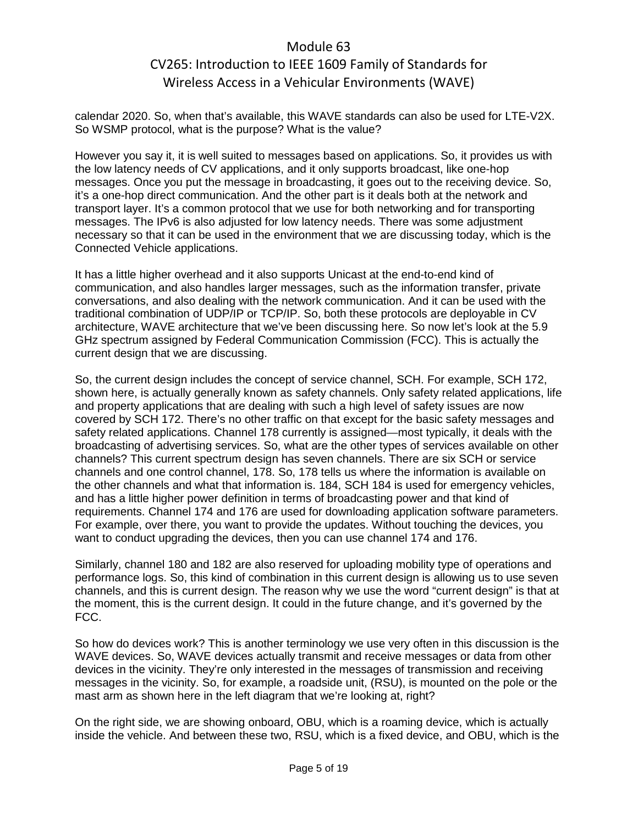calendar 2020. So, when that's available, this WAVE standards can also be used for LTE-V2X. So WSMP protocol, what is the purpose? What is the value?

However you say it, it is well suited to messages based on applications. So, it provides us with the low latency needs of CV applications, and it only supports broadcast, like one-hop messages. Once you put the message in broadcasting, it goes out to the receiving device. So, it's a one-hop direct communication. And the other part is it deals both at the network and transport layer. It's a common protocol that we use for both networking and for transporting messages. The IPv6 is also adjusted for low latency needs. There was some adjustment necessary so that it can be used in the environment that we are discussing today, which is the Connected Vehicle applications.

It has a little higher overhead and it also supports Unicast at the end-to-end kind of communication, and also handles larger messages, such as the information transfer, private conversations, and also dealing with the network communication. And it can be used with the traditional combination of UDP/IP or TCP/IP. So, both these protocols are deployable in CV architecture, WAVE architecture that we've been discussing here. So now let's look at the 5.9 GHz spectrum assigned by Federal Communication Commission (FCC). This is actually the current design that we are discussing.

So, the current design includes the concept of service channel, SCH. For example, SCH 172, shown here, is actually generally known as safety channels. Only safety related applications, life and property applications that are dealing with such a high level of safety issues are now covered by SCH 172. There's no other traffic on that except for the basic safety messages and safety related applications. Channel 178 currently is assigned—most typically, it deals with the broadcasting of advertising services. So, what are the other types of services available on other channels? This current spectrum design has seven channels. There are six SCH or service channels and one control channel, 178. So, 178 tells us where the information is available on the other channels and what that information is. 184, SCH 184 is used for emergency vehicles, and has a little higher power definition in terms of broadcasting power and that kind of requirements. Channel 174 and 176 are used for downloading application software parameters. For example, over there, you want to provide the updates. Without touching the devices, you want to conduct upgrading the devices, then you can use channel 174 and 176.

Similarly, channel 180 and 182 are also reserved for uploading mobility type of operations and performance logs. So, this kind of combination in this current design is allowing us to use seven channels, and this is current design. The reason why we use the word "current design" is that at the moment, this is the current design. It could in the future change, and it's governed by the FCC.

So how do devices work? This is another terminology we use very often in this discussion is the WAVE devices. So, WAVE devices actually transmit and receive messages or data from other devices in the vicinity. They're only interested in the messages of transmission and receiving messages in the vicinity. So, for example, a roadside unit, (RSU), is mounted on the pole or the mast arm as shown here in the left diagram that we're looking at, right?

On the right side, we are showing onboard, OBU, which is a roaming device, which is actually inside the vehicle. And between these two, RSU, which is a fixed device, and OBU, which is the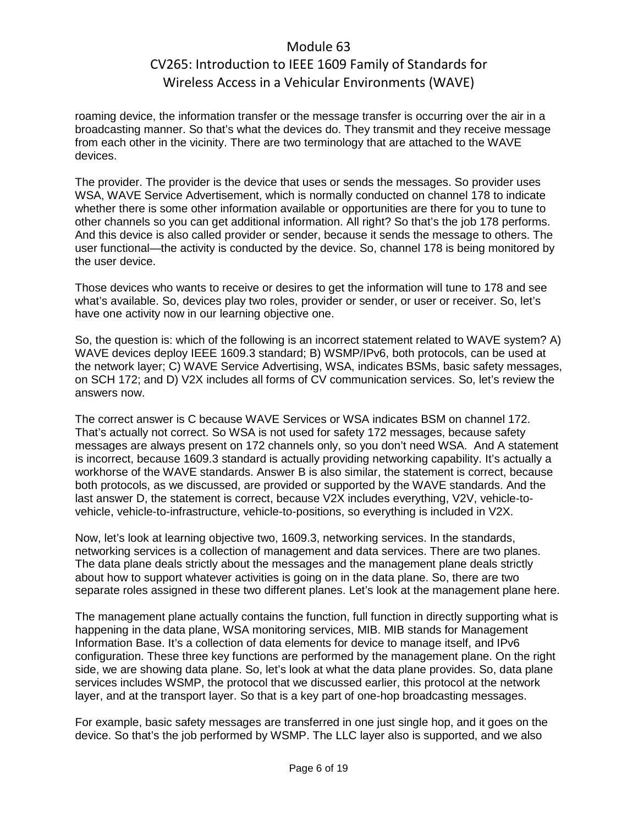roaming device, the information transfer or the message transfer is occurring over the air in a broadcasting manner. So that's what the devices do. They transmit and they receive message from each other in the vicinity. There are two terminology that are attached to the WAVE devices.

The provider. The provider is the device that uses or sends the messages. So provider uses WSA, WAVE Service Advertisement, which is normally conducted on channel 178 to indicate whether there is some other information available or opportunities are there for you to tune to other channels so you can get additional information. All right? So that's the job 178 performs. And this device is also called provider or sender, because it sends the message to others. The user functional—the activity is conducted by the device. So, channel 178 is being monitored by the user device.

Those devices who wants to receive or desires to get the information will tune to 178 and see what's available. So, devices play two roles, provider or sender, or user or receiver. So, let's have one activity now in our learning objective one.

So, the question is: which of the following is an incorrect statement related to WAVE system? A) WAVE devices deploy IEEE 1609.3 standard; B) WSMP/IPv6, both protocols, can be used at the network layer; C) WAVE Service Advertising, WSA, indicates BSMs, basic safety messages, on SCH 172; and D) V2X includes all forms of CV communication services. So, let's review the answers now.

The correct answer is C because WAVE Services or WSA indicates BSM on channel 172. That's actually not correct. So WSA is not used for safety 172 messages, because safety messages are always present on 172 channels only, so you don't need WSA. And A statement is incorrect, because 1609.3 standard is actually providing networking capability. It's actually a workhorse of the WAVE standards. Answer B is also similar, the statement is correct, because both protocols, as we discussed, are provided or supported by the WAVE standards. And the last answer D, the statement is correct, because V2X includes everything, V2V, vehicle-tovehicle, vehicle-to-infrastructure, vehicle-to-positions, so everything is included in V2X.

Now, let's look at learning objective two, 1609.3, networking services. In the standards, networking services is a collection of management and data services. There are two planes. The data plane deals strictly about the messages and the management plane deals strictly about how to support whatever activities is going on in the data plane. So, there are two separate roles assigned in these two different planes. Let's look at the management plane here.

The management plane actually contains the function, full function in directly supporting what is happening in the data plane, WSA monitoring services, MIB. MIB stands for Management Information Base. It's a collection of data elements for device to manage itself, and IPv6 configuration. These three key functions are performed by the management plane. On the right side, we are showing data plane. So, let's look at what the data plane provides. So, data plane services includes WSMP, the protocol that we discussed earlier, this protocol at the network layer, and at the transport layer. So that is a key part of one-hop broadcasting messages.

For example, basic safety messages are transferred in one just single hop, and it goes on the device. So that's the job performed by WSMP. The LLC layer also is supported, and we also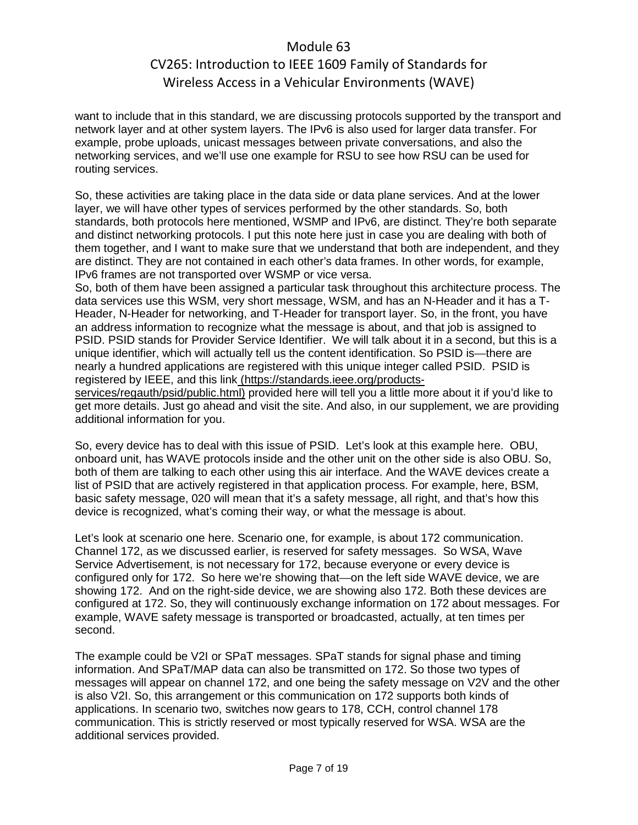want to include that in this standard, we are discussing protocols supported by the transport and network layer and at other system layers. The IPv6 is also used for larger data transfer. For example, probe uploads, unicast messages between private conversations, and also the networking services, and we'll use one example for RSU to see how RSU can be used for routing services.

So, these activities are taking place in the data side or data plane services. And at the lower layer, we will have other types of services performed by the other standards. So, both standards, both protocols here mentioned, WSMP and IPv6, are distinct. They're both separate and distinct networking protocols. I put this note here just in case you are dealing with both of them together, and I want to make sure that we understand that both are independent, and they are distinct. They are not contained in each other's data frames. In other words, for example, IPv6 frames are not transported over WSMP or vice versa.

So, both of them have been assigned a particular task throughout this architecture process. The data services use this WSM, very short message, WSM, and has an N-Header and it has a T-Header, N-Header for networking, and T-Header for transport layer. So, in the front, you have an address information to recognize what the message is about, and that job is assigned to PSID. PSID stands for Provider Service Identifier. We will talk about it in a second, but this is a unique identifier, which will actually tell us the content identification. So PSID is—there are nearly a hundred applications are registered with this unique integer called PSID. PSID is registered by IEEE, and this link (https://standards.ieee.org/products-

services/regauth/psid/public.html) provided here will tell you a little more about it if you'd like to get more details. Just go ahead and visit the site. And also, in our supplement, we are providing additional information for you.

So, every device has to deal with this issue of PSID. Let's look at this example here. OBU, onboard unit, has WAVE protocols inside and the other unit on the other side is also OBU. So, both of them are talking to each other using this air interface. And the WAVE devices create a list of PSID that are actively registered in that application process. For example, here, BSM, basic safety message, 020 will mean that it's a safety message, all right, and that's how this device is recognized, what's coming their way, or what the message is about.

Let's look at scenario one here. Scenario one, for example, is about 172 communication. Channel 172, as we discussed earlier, is reserved for safety messages. So WSA, Wave Service Advertisement, is not necessary for 172, because everyone or every device is configured only for 172. So here we're showing that—on the left side WAVE device, we are showing 172. And on the right-side device, we are showing also 172. Both these devices are configured at 172. So, they will continuously exchange information on 172 about messages. For example, WAVE safety message is transported or broadcasted, actually, at ten times per second.

The example could be V2I or SPaT messages. SPaT stands for signal phase and timing information. And SPaT/MAP data can also be transmitted on 172. So those two types of messages will appear on channel 172, and one being the safety message on V2V and the other is also V2I. So, this arrangement or this communication on 172 supports both kinds of applications. In scenario two, switches now gears to 178, CCH, control channel 178 communication. This is strictly reserved or most typically reserved for WSA. WSA are the additional services provided.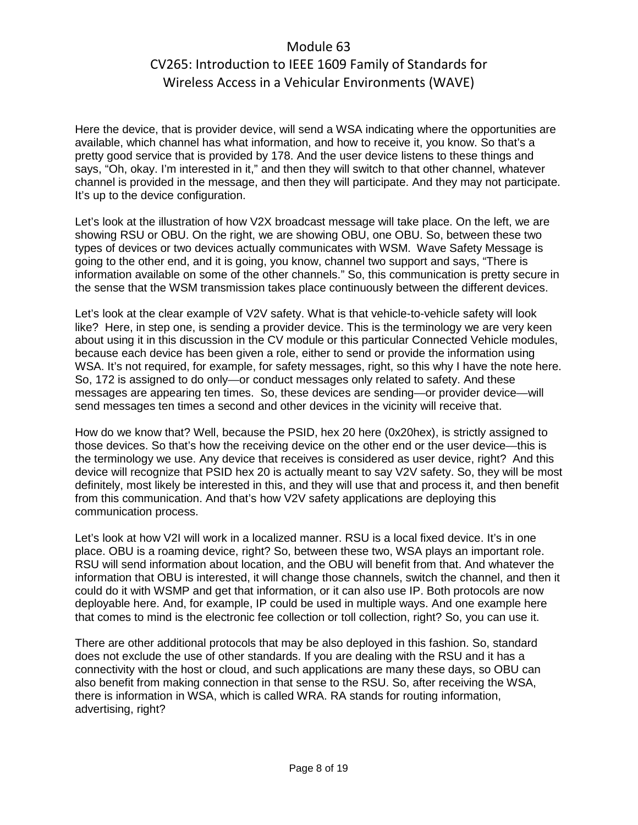Here the device, that is provider device, will send a WSA indicating where the opportunities are available, which channel has what information, and how to receive it, you know. So that's a pretty good service that is provided by 178. And the user device listens to these things and says, "Oh, okay. I'm interested in it," and then they will switch to that other channel, whatever channel is provided in the message, and then they will participate. And they may not participate. It's up to the device configuration.

Let's look at the illustration of how V2X broadcast message will take place. On the left, we are showing RSU or OBU. On the right, we are showing OBU, one OBU. So, between these two types of devices or two devices actually communicates with WSM. Wave Safety Message is going to the other end, and it is going, you know, channel two support and says, "There is information available on some of the other channels." So, this communication is pretty secure in the sense that the WSM transmission takes place continuously between the different devices.

Let's look at the clear example of V2V safety. What is that vehicle-to-vehicle safety will look like? Here, in step one, is sending a provider device. This is the terminology we are very keen about using it in this discussion in the CV module or this particular Connected Vehicle modules, because each device has been given a role, either to send or provide the information using WSA. It's not required, for example, for safety messages, right, so this why I have the note here. So, 172 is assigned to do only—or conduct messages only related to safety. And these messages are appearing ten times. So, these devices are sending—or provider device—will send messages ten times a second and other devices in the vicinity will receive that.

How do we know that? Well, because the PSID, hex 20 here (0x20hex), is strictly assigned to those devices. So that's how the receiving device on the other end or the user device—this is the terminology we use. Any device that receives is considered as user device, right? And this device will recognize that PSID hex 20 is actually meant to say V2V safety. So, they will be most definitely, most likely be interested in this, and they will use that and process it, and then benefit from this communication. And that's how V2V safety applications are deploying this communication process.

Let's look at how V2I will work in a localized manner. RSU is a local fixed device. It's in one place. OBU is a roaming device, right? So, between these two, WSA plays an important role. RSU will send information about location, and the OBU will benefit from that. And whatever the information that OBU is interested, it will change those channels, switch the channel, and then it could do it with WSMP and get that information, or it can also use IP. Both protocols are now deployable here. And, for example, IP could be used in multiple ways. And one example here that comes to mind is the electronic fee collection or toll collection, right? So, you can use it.

There are other additional protocols that may be also deployed in this fashion. So, standard does not exclude the use of other standards. If you are dealing with the RSU and it has a connectivity with the host or cloud, and such applications are many these days, so OBU can also benefit from making connection in that sense to the RSU. So, after receiving the WSA, there is information in WSA, which is called WRA. RA stands for routing information, advertising, right?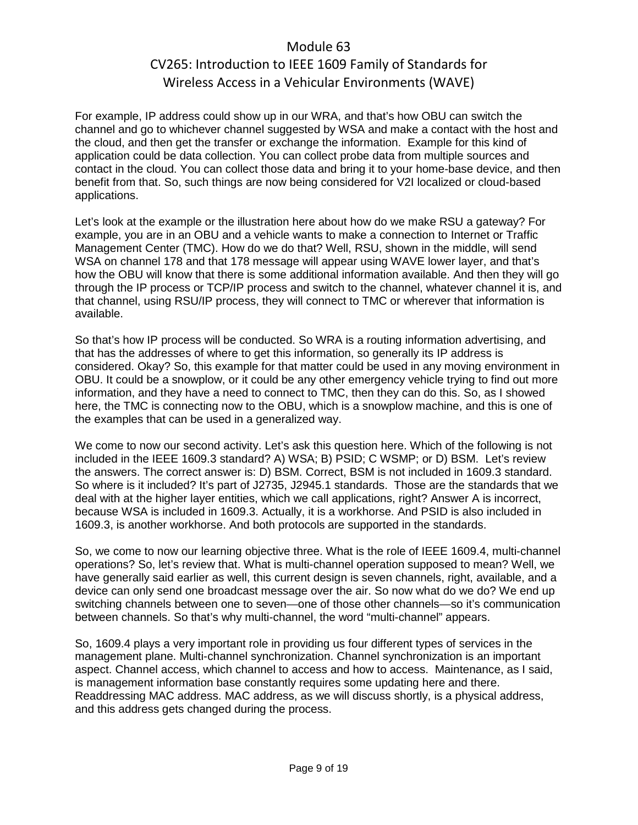For example, IP address could show up in our WRA, and that's how OBU can switch the channel and go to whichever channel suggested by WSA and make a contact with the host and the cloud, and then get the transfer or exchange the information. Example for this kind of application could be data collection. You can collect probe data from multiple sources and contact in the cloud. You can collect those data and bring it to your home-base device, and then benefit from that. So, such things are now being considered for V2I localized or cloud-based applications.

Let's look at the example or the illustration here about how do we make RSU a gateway? For example, you are in an OBU and a vehicle wants to make a connection to Internet or Traffic Management Center (TMC). How do we do that? Well, RSU, shown in the middle, will send WSA on channel 178 and that 178 message will appear using WAVE lower layer, and that's how the OBU will know that there is some additional information available. And then they will go through the IP process or TCP/IP process and switch to the channel, whatever channel it is, and that channel, using RSU/IP process, they will connect to TMC or wherever that information is available.

So that's how IP process will be conducted. So WRA is a routing information advertising, and that has the addresses of where to get this information, so generally its IP address is considered. Okay? So, this example for that matter could be used in any moving environment in OBU. It could be a snowplow, or it could be any other emergency vehicle trying to find out more information, and they have a need to connect to TMC, then they can do this. So, as I showed here, the TMC is connecting now to the OBU, which is a snowplow machine, and this is one of the examples that can be used in a generalized way.

We come to now our second activity. Let's ask this question here. Which of the following is not included in the IEEE 1609.3 standard? A) WSA; B) PSID; C WSMP; or D) BSM. Let's review the answers. The correct answer is: D) BSM. Correct, BSM is not included in 1609.3 standard. So where is it included? It's part of J2735, J2945.1 standards. Those are the standards that we deal with at the higher layer entities, which we call applications, right? Answer A is incorrect, because WSA is included in 1609.3. Actually, it is a workhorse. And PSID is also included in 1609.3, is another workhorse. And both protocols are supported in the standards.

So, we come to now our learning objective three. What is the role of IEEE 1609.4, multi-channel operations? So, let's review that. What is multi-channel operation supposed to mean? Well, we have generally said earlier as well, this current design is seven channels, right, available, and a device can only send one broadcast message over the air. So now what do we do? We end up switching channels between one to seven—one of those other channels—so it's communication between channels. So that's why multi-channel, the word "multi-channel" appears.

So, 1609.4 plays a very important role in providing us four different types of services in the management plane. Multi-channel synchronization. Channel synchronization is an important aspect. Channel access, which channel to access and how to access. Maintenance, as I said, is management information base constantly requires some updating here and there. Readdressing MAC address. MAC address, as we will discuss shortly, is a physical address, and this address gets changed during the process.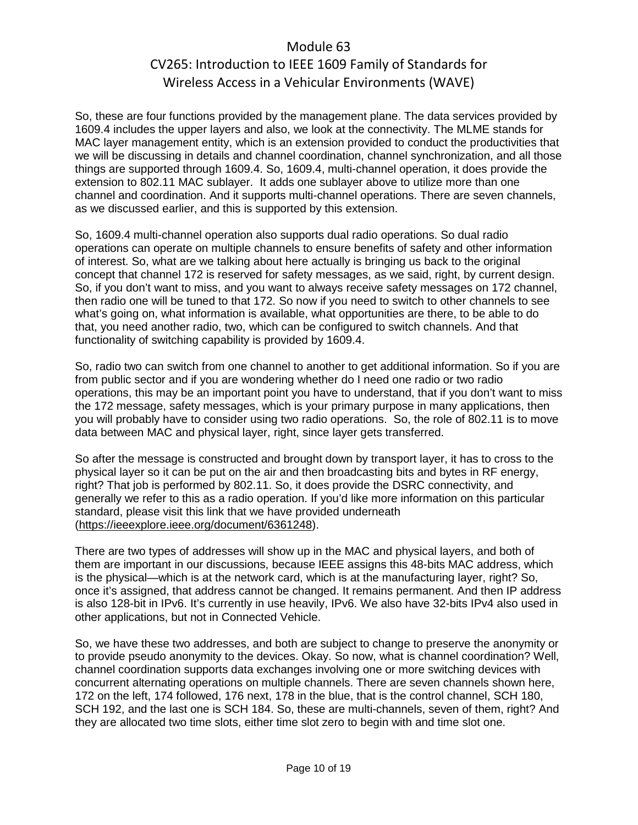So, these are four functions provided by the management plane. The data services provided by 1609.4 includes the upper layers and also, we look at the connectivity. The MLME stands for MAC layer management entity, which is an extension provided to conduct the productivities that we will be discussing in details and channel coordination, channel synchronization, and all those things are supported through 1609.4. So, 1609.4, multi-channel operation, it does provide the extension to 802.11 MAC sublayer. It adds one sublayer above to utilize more than one channel and coordination. And it supports multi-channel operations. There are seven channels, as we discussed earlier, and this is supported by this extension.

So, 1609.4 multi-channel operation also supports dual radio operations. So dual radio operations can operate on multiple channels to ensure benefits of safety and other information of interest. So, what are we talking about here actually is bringing us back to the original concept that channel 172 is reserved for safety messages, as we said, right, by current design. So, if you don't want to miss, and you want to always receive safety messages on 172 channel, then radio one will be tuned to that 172. So now if you need to switch to other channels to see what's going on, what information is available, what opportunities are there, to be able to do that, you need another radio, two, which can be configured to switch channels. And that functionality of switching capability is provided by 1609.4.

So, radio two can switch from one channel to another to get additional information. So if you are from public sector and if you are wondering whether do I need one radio or two radio operations, this may be an important point you have to understand, that if you don't want to miss the 172 message, safety messages, which is your primary purpose in many applications, then you will probably have to consider using two radio operations. So, the role of 802.11 is to move data between MAC and physical layer, right, since layer gets transferred.

So after the message is constructed and brought down by transport layer, it has to cross to the physical layer so it can be put on the air and then broadcasting bits and bytes in RF energy, right? That job is performed by 802.11. So, it does provide the DSRC connectivity, and generally we refer to this as a radio operation. If you'd like more information on this particular standard, please visit this link that we have provided underneath [\(https://ieeexplore.ieee.org/document/6361248\)](https://ieeexplore.ieee.org/document/6361248).

There are two types of addresses will show up in the MAC and physical layers, and both of them are important in our discussions, because IEEE assigns this 48-bits MAC address, which is the physical—which is at the network card, which is at the manufacturing layer, right? So, once it's assigned, that address cannot be changed. It remains permanent. And then IP address is also 128-bit in IPv6. It's currently in use heavily, IPv6. We also have 32-bits IPv4 also used in other applications, but not in Connected Vehicle.

So, we have these two addresses, and both are subject to change to preserve the anonymity or to provide pseudo anonymity to the devices. Okay. So now, what is channel coordination? Well, channel coordination supports data exchanges involving one or more switching devices with concurrent alternating operations on multiple channels. There are seven channels shown here, 172 on the left, 174 followed, 176 next, 178 in the blue, that is the control channel, SCH 180, SCH 192, and the last one is SCH 184. So, these are multi-channels, seven of them, right? And they are allocated two time slots, either time slot zero to begin with and time slot one.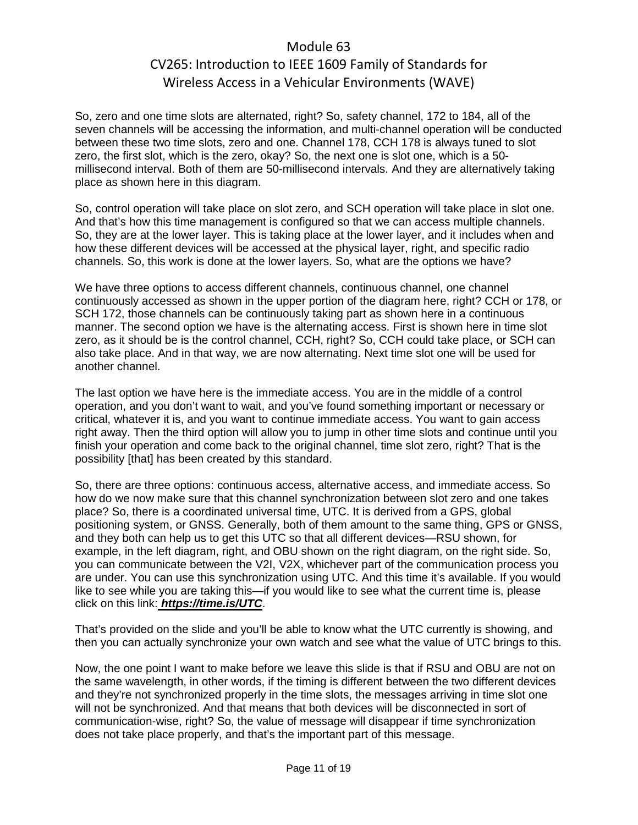So, zero and one time slots are alternated, right? So, safety channel, 172 to 184, all of the seven channels will be accessing the information, and multi-channel operation will be conducted between these two time slots, zero and one. Channel 178, CCH 178 is always tuned to slot zero, the first slot, which is the zero, okay? So, the next one is slot one, which is a 50 millisecond interval. Both of them are 50-millisecond intervals. And they are alternatively taking place as shown here in this diagram.

So, control operation will take place on slot zero, and SCH operation will take place in slot one. And that's how this time management is configured so that we can access multiple channels. So, they are at the lower layer. This is taking place at the lower layer, and it includes when and how these different devices will be accessed at the physical layer, right, and specific radio channels. So, this work is done at the lower layers. So, what are the options we have?

We have three options to access different channels, continuous channel, one channel continuously accessed as shown in the upper portion of the diagram here, right? CCH or 178, or SCH 172, those channels can be continuously taking part as shown here in a continuous manner. The second option we have is the alternating access. First is shown here in time slot zero, as it should be is the control channel, CCH, right? So, CCH could take place, or SCH can also take place. And in that way, we are now alternating. Next time slot one will be used for another channel.

The last option we have here is the immediate access. You are in the middle of a control operation, and you don't want to wait, and you've found something important or necessary or critical, whatever it is, and you want to continue immediate access. You want to gain access right away. Then the third option will allow you to jump in other time slots and continue until you finish your operation and come back to the original channel, time slot zero, right? That is the possibility [that] has been created by this standard.

So, there are three options: continuous access, alternative access, and immediate access. So how do we now make sure that this channel synchronization between slot zero and one takes place? So, there is a coordinated universal time, UTC. It is derived from a GPS, global positioning system, or GNSS. Generally, both of them amount to the same thing, GPS or GNSS, and they both can help us to get this UTC so that all different devices—RSU shown, for example, in the left diagram, right, and OBU shown on the right diagram, on the right side. So, you can communicate between the V2I, V2X, whichever part of the communication process you are under. You can use this synchronization using UTC. And this time it's available. If you would like to see while you are taking this—if you would like to see what the current time is, please click on this link: *https://time.is/UTC*.

That's provided on the slide and you'll be able to know what the UTC currently is showing, and then you can actually synchronize your own watch and see what the value of UTC brings to this.

Now, the one point I want to make before we leave this slide is that if RSU and OBU are not on the same wavelength, in other words, if the timing is different between the two different devices and they're not synchronized properly in the time slots, the messages arriving in time slot one will not be synchronized. And that means that both devices will be disconnected in sort of communication-wise, right? So, the value of message will disappear if time synchronization does not take place properly, and that's the important part of this message.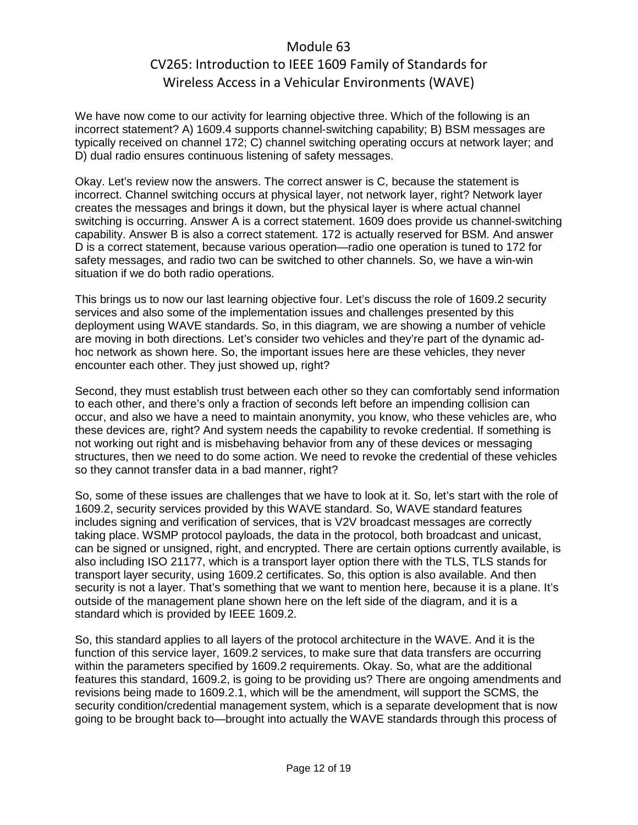We have now come to our activity for learning objective three. Which of the following is an incorrect statement? A) 1609.4 supports channel-switching capability; B) BSM messages are typically received on channel 172; C) channel switching operating occurs at network layer; and D) dual radio ensures continuous listening of safety messages.

Okay. Let's review now the answers. The correct answer is C, because the statement is incorrect. Channel switching occurs at physical layer, not network layer, right? Network layer creates the messages and brings it down, but the physical layer is where actual channel switching is occurring. Answer A is a correct statement. 1609 does provide us channel-switching capability. Answer B is also a correct statement. 172 is actually reserved for BSM. And answer D is a correct statement, because various operation—radio one operation is tuned to 172 for safety messages, and radio two can be switched to other channels. So, we have a win-win situation if we do both radio operations.

This brings us to now our last learning objective four. Let's discuss the role of 1609.2 security services and also some of the implementation issues and challenges presented by this deployment using WAVE standards. So, in this diagram, we are showing a number of vehicle are moving in both directions. Let's consider two vehicles and they're part of the dynamic adhoc network as shown here. So, the important issues here are these vehicles, they never encounter each other. They just showed up, right?

Second, they must establish trust between each other so they can comfortably send information to each other, and there's only a fraction of seconds left before an impending collision can occur, and also we have a need to maintain anonymity, you know, who these vehicles are, who these devices are, right? And system needs the capability to revoke credential. If something is not working out right and is misbehaving behavior from any of these devices or messaging structures, then we need to do some action. We need to revoke the credential of these vehicles so they cannot transfer data in a bad manner, right?

So, some of these issues are challenges that we have to look at it. So, let's start with the role of 1609.2, security services provided by this WAVE standard. So, WAVE standard features includes signing and verification of services, that is V2V broadcast messages are correctly taking place. WSMP protocol payloads, the data in the protocol, both broadcast and unicast, can be signed or unsigned, right, and encrypted. There are certain options currently available, is also including ISO 21177, which is a transport layer option there with the TLS, TLS stands for transport layer security, using 1609.2 certificates. So, this option is also available. And then security is not a layer. That's something that we want to mention here, because it is a plane. It's outside of the management plane shown here on the left side of the diagram, and it is a standard which is provided by IEEE 1609.2.

So, this standard applies to all layers of the protocol architecture in the WAVE. And it is the function of this service layer, 1609.2 services, to make sure that data transfers are occurring within the parameters specified by 1609.2 requirements. Okay. So, what are the additional features this standard, 1609.2, is going to be providing us? There are ongoing amendments and revisions being made to 1609.2.1, which will be the amendment, will support the SCMS, the security condition/credential management system, which is a separate development that is now going to be brought back to—brought into actually the WAVE standards through this process of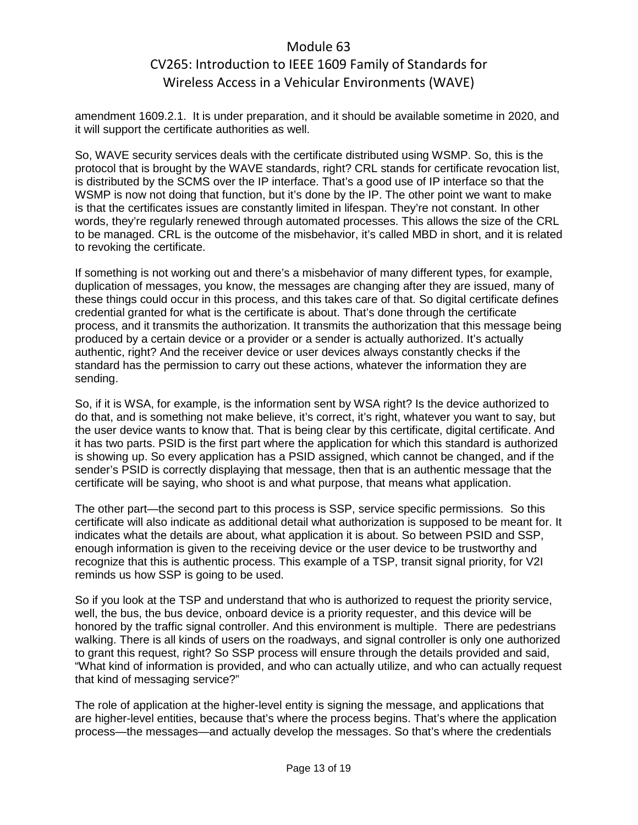amendment 1609.2.1. It is under preparation, and it should be available sometime in 2020, and it will support the certificate authorities as well.

So, WAVE security services deals with the certificate distributed using WSMP. So, this is the protocol that is brought by the WAVE standards, right? CRL stands for certificate revocation list, is distributed by the SCMS over the IP interface. That's a good use of IP interface so that the WSMP is now not doing that function, but it's done by the IP. The other point we want to make is that the certificates issues are constantly limited in lifespan. They're not constant. In other words, they're regularly renewed through automated processes. This allows the size of the CRL to be managed. CRL is the outcome of the misbehavior, it's called MBD in short, and it is related to revoking the certificate.

If something is not working out and there's a misbehavior of many different types, for example, duplication of messages, you know, the messages are changing after they are issued, many of these things could occur in this process, and this takes care of that. So digital certificate defines credential granted for what is the certificate is about. That's done through the certificate process, and it transmits the authorization. It transmits the authorization that this message being produced by a certain device or a provider or a sender is actually authorized. It's actually authentic, right? And the receiver device or user devices always constantly checks if the standard has the permission to carry out these actions, whatever the information they are sending.

So, if it is WSA, for example, is the information sent by WSA right? Is the device authorized to do that, and is something not make believe, it's correct, it's right, whatever you want to say, but the user device wants to know that. That is being clear by this certificate, digital certificate. And it has two parts. PSID is the first part where the application for which this standard is authorized is showing up. So every application has a PSID assigned, which cannot be changed, and if the sender's PSID is correctly displaying that message, then that is an authentic message that the certificate will be saying, who shoot is and what purpose, that means what application.

The other part—the second part to this process is SSP, service specific permissions. So this certificate will also indicate as additional detail what authorization is supposed to be meant for. It indicates what the details are about, what application it is about. So between PSID and SSP, enough information is given to the receiving device or the user device to be trustworthy and recognize that this is authentic process. This example of a TSP, transit signal priority, for V2I reminds us how SSP is going to be used.

So if you look at the TSP and understand that who is authorized to request the priority service, well, the bus, the bus device, onboard device is a priority requester, and this device will be honored by the traffic signal controller. And this environment is multiple. There are pedestrians walking. There is all kinds of users on the roadways, and signal controller is only one authorized to grant this request, right? So SSP process will ensure through the details provided and said, "What kind of information is provided, and who can actually utilize, and who can actually request that kind of messaging service?"

The role of application at the higher-level entity is signing the message, and applications that are higher-level entities, because that's where the process begins. That's where the application process—the messages—and actually develop the messages. So that's where the credentials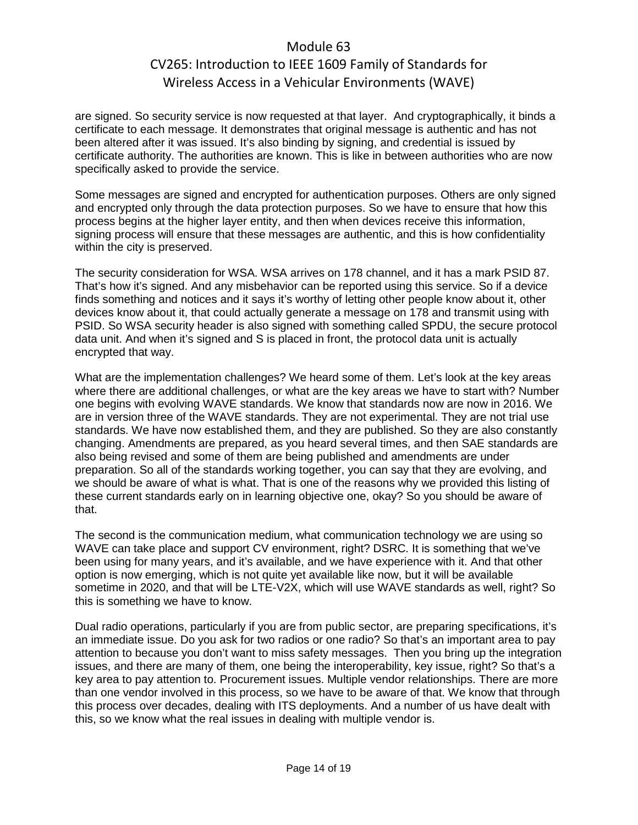are signed. So security service is now requested at that layer. And cryptographically, it binds a certificate to each message. It demonstrates that original message is authentic and has not been altered after it was issued. It's also binding by signing, and credential is issued by certificate authority. The authorities are known. This is like in between authorities who are now specifically asked to provide the service.

Some messages are signed and encrypted for authentication purposes. Others are only signed and encrypted only through the data protection purposes. So we have to ensure that how this process begins at the higher layer entity, and then when devices receive this information, signing process will ensure that these messages are authentic, and this is how confidentiality within the city is preserved.

The security consideration for WSA. WSA arrives on 178 channel, and it has a mark PSID 87. That's how it's signed. And any misbehavior can be reported using this service. So if a device finds something and notices and it says it's worthy of letting other people know about it, other devices know about it, that could actually generate a message on 178 and transmit using with PSID. So WSA security header is also signed with something called SPDU, the secure protocol data unit. And when it's signed and S is placed in front, the protocol data unit is actually encrypted that way.

What are the implementation challenges? We heard some of them. Let's look at the key areas where there are additional challenges, or what are the key areas we have to start with? Number one begins with evolving WAVE standards. We know that standards now are now in 2016. We are in version three of the WAVE standards. They are not experimental. They are not trial use standards. We have now established them, and they are published. So they are also constantly changing. Amendments are prepared, as you heard several times, and then SAE standards are also being revised and some of them are being published and amendments are under preparation. So all of the standards working together, you can say that they are evolving, and we should be aware of what is what. That is one of the reasons why we provided this listing of these current standards early on in learning objective one, okay? So you should be aware of that.

The second is the communication medium, what communication technology we are using so WAVE can take place and support CV environment, right? DSRC. It is something that we've been using for many years, and it's available, and we have experience with it. And that other option is now emerging, which is not quite yet available like now, but it will be available sometime in 2020, and that will be LTE-V2X, which will use WAVE standards as well, right? So this is something we have to know.

Dual radio operations, particularly if you are from public sector, are preparing specifications, it's an immediate issue. Do you ask for two radios or one radio? So that's an important area to pay attention to because you don't want to miss safety messages. Then you bring up the integration issues, and there are many of them, one being the interoperability, key issue, right? So that's a key area to pay attention to. Procurement issues. Multiple vendor relationships. There are more than one vendor involved in this process, so we have to be aware of that. We know that through this process over decades, dealing with ITS deployments. And a number of us have dealt with this, so we know what the real issues in dealing with multiple vendor is.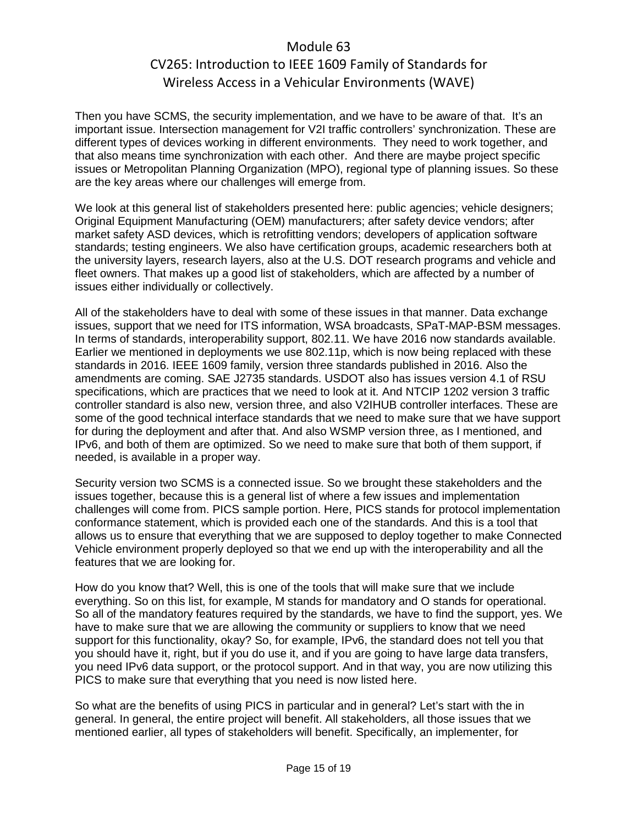Then you have SCMS, the security implementation, and we have to be aware of that. It's an important issue. Intersection management for V2I traffic controllers' synchronization. These are different types of devices working in different environments. They need to work together, and that also means time synchronization with each other. And there are maybe project specific issues or Metropolitan Planning Organization (MPO), regional type of planning issues. So these are the key areas where our challenges will emerge from.

We look at this general list of stakeholders presented here: public agencies; vehicle designers; Original Equipment Manufacturing (OEM) manufacturers; after safety device vendors; after market safety ASD devices, which is retrofitting vendors; developers of application software standards; testing engineers. We also have certification groups, academic researchers both at the university layers, research layers, also at the U.S. DOT research programs and vehicle and fleet owners. That makes up a good list of stakeholders, which are affected by a number of issues either individually or collectively.

All of the stakeholders have to deal with some of these issues in that manner. Data exchange issues, support that we need for ITS information, WSA broadcasts, SPaT-MAP-BSM messages. In terms of standards, interoperability support, 802.11. We have 2016 now standards available. Earlier we mentioned in deployments we use 802.11p, which is now being replaced with these standards in 2016. IEEE 1609 family, version three standards published in 2016. Also the amendments are coming. SAE J2735 standards. USDOT also has issues version 4.1 of RSU specifications, which are practices that we need to look at it. And NTCIP 1202 version 3 traffic controller standard is also new, version three, and also V2IHUB controller interfaces. These are some of the good technical interface standards that we need to make sure that we have support for during the deployment and after that. And also WSMP version three, as I mentioned, and IPv6, and both of them are optimized. So we need to make sure that both of them support, if needed, is available in a proper way.

Security version two SCMS is a connected issue. So we brought these stakeholders and the issues together, because this is a general list of where a few issues and implementation challenges will come from. PICS sample portion. Here, PICS stands for protocol implementation conformance statement, which is provided each one of the standards. And this is a tool that allows us to ensure that everything that we are supposed to deploy together to make Connected Vehicle environment properly deployed so that we end up with the interoperability and all the features that we are looking for.

How do you know that? Well, this is one of the tools that will make sure that we include everything. So on this list, for example, M stands for mandatory and O stands for operational. So all of the mandatory features required by the standards, we have to find the support, yes. We have to make sure that we are allowing the community or suppliers to know that we need support for this functionality, okay? So, for example, IPv6, the standard does not tell you that you should have it, right, but if you do use it, and if you are going to have large data transfers, you need IPv6 data support, or the protocol support. And in that way, you are now utilizing this PICS to make sure that everything that you need is now listed here.

So what are the benefits of using PICS in particular and in general? Let's start with the in general. In general, the entire project will benefit. All stakeholders, all those issues that we mentioned earlier, all types of stakeholders will benefit. Specifically, an implementer, for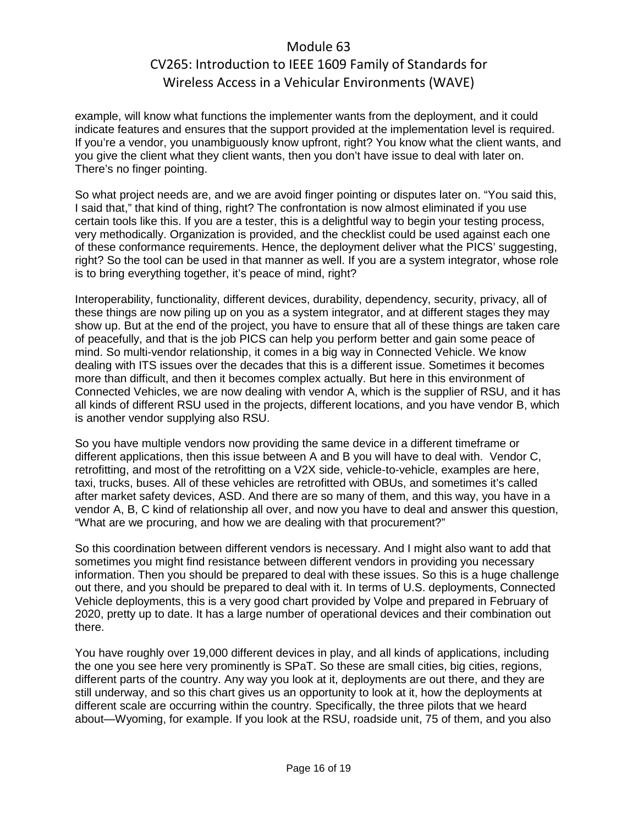example, will know what functions the implementer wants from the deployment, and it could indicate features and ensures that the support provided at the implementation level is required. If you're a vendor, you unambiguously know upfront, right? You know what the client wants, and you give the client what they client wants, then you don't have issue to deal with later on. There's no finger pointing.

So what project needs are, and we are avoid finger pointing or disputes later on. "You said this, I said that," that kind of thing, right? The confrontation is now almost eliminated if you use certain tools like this. If you are a tester, this is a delightful way to begin your testing process, very methodically. Organization is provided, and the checklist could be used against each one of these conformance requirements. Hence, the deployment deliver what the PICS' suggesting, right? So the tool can be used in that manner as well. If you are a system integrator, whose role is to bring everything together, it's peace of mind, right?

Interoperability, functionality, different devices, durability, dependency, security, privacy, all of these things are now piling up on you as a system integrator, and at different stages they may show up. But at the end of the project, you have to ensure that all of these things are taken care of peacefully, and that is the job PICS can help you perform better and gain some peace of mind. So multi-vendor relationship, it comes in a big way in Connected Vehicle. We know dealing with ITS issues over the decades that this is a different issue. Sometimes it becomes more than difficult, and then it becomes complex actually. But here in this environment of Connected Vehicles, we are now dealing with vendor A, which is the supplier of RSU, and it has all kinds of different RSU used in the projects, different locations, and you have vendor B, which is another vendor supplying also RSU.

So you have multiple vendors now providing the same device in a different timeframe or different applications, then this issue between A and B you will have to deal with. Vendor C, retrofitting, and most of the retrofitting on a V2X side, vehicle-to-vehicle, examples are here, taxi, trucks, buses. All of these vehicles are retrofitted with OBUs, and sometimes it's called after market safety devices, ASD. And there are so many of them, and this way, you have in a vendor A, B, C kind of relationship all over, and now you have to deal and answer this question, "What are we procuring, and how we are dealing with that procurement?"

So this coordination between different vendors is necessary. And I might also want to add that sometimes you might find resistance between different vendors in providing you necessary information. Then you should be prepared to deal with these issues. So this is a huge challenge out there, and you should be prepared to deal with it. In terms of U.S. deployments, Connected Vehicle deployments, this is a very good chart provided by Volpe and prepared in February of 2020, pretty up to date. It has a large number of operational devices and their combination out there.

You have roughly over 19,000 different devices in play, and all kinds of applications, including the one you see here very prominently is SPaT. So these are small cities, big cities, regions, different parts of the country. Any way you look at it, deployments are out there, and they are still underway, and so this chart gives us an opportunity to look at it, how the deployments at different scale are occurring within the country. Specifically, the three pilots that we heard about—Wyoming, for example. If you look at the RSU, roadside unit, 75 of them, and you also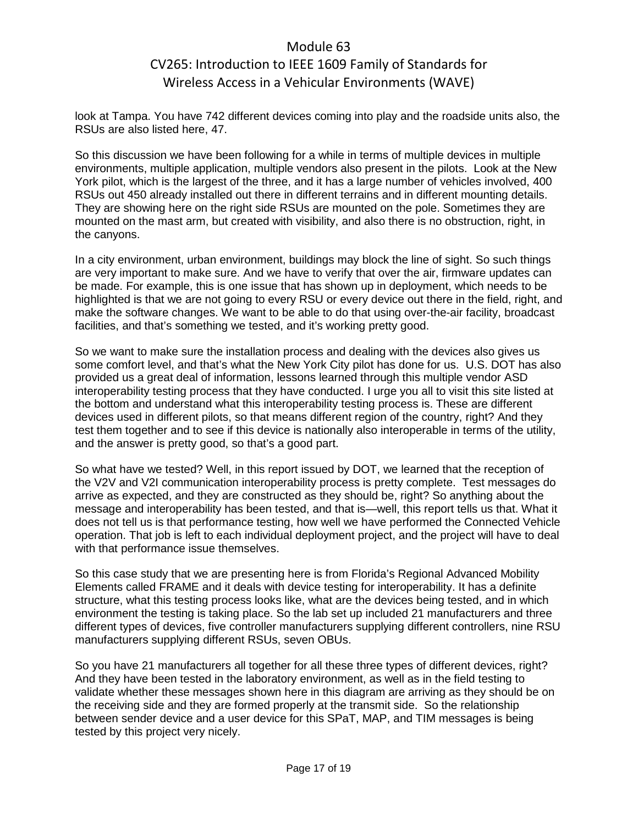look at Tampa. You have 742 different devices coming into play and the roadside units also, the RSUs are also listed here, 47.

So this discussion we have been following for a while in terms of multiple devices in multiple environments, multiple application, multiple vendors also present in the pilots. Look at the New York pilot, which is the largest of the three, and it has a large number of vehicles involved, 400 RSUs out 450 already installed out there in different terrains and in different mounting details. They are showing here on the right side RSUs are mounted on the pole. Sometimes they are mounted on the mast arm, but created with visibility, and also there is no obstruction, right, in the canyons.

In a city environment, urban environment, buildings may block the line of sight. So such things are very important to make sure. And we have to verify that over the air, firmware updates can be made. For example, this is one issue that has shown up in deployment, which needs to be highlighted is that we are not going to every RSU or every device out there in the field, right, and make the software changes. We want to be able to do that using over-the-air facility, broadcast facilities, and that's something we tested, and it's working pretty good.

So we want to make sure the installation process and dealing with the devices also gives us some comfort level, and that's what the New York City pilot has done for us. U.S. DOT has also provided us a great deal of information, lessons learned through this multiple vendor ASD interoperability testing process that they have conducted. I urge you all to visit this site listed at the bottom and understand what this interoperability testing process is. These are different devices used in different pilots, so that means different region of the country, right? And they test them together and to see if this device is nationally also interoperable in terms of the utility, and the answer is pretty good, so that's a good part.

So what have we tested? Well, in this report issued by DOT, we learned that the reception of the V2V and V2I communication interoperability process is pretty complete. Test messages do arrive as expected, and they are constructed as they should be, right? So anything about the message and interoperability has been tested, and that is—well, this report tells us that. What it does not tell us is that performance testing, how well we have performed the Connected Vehicle operation. That job is left to each individual deployment project, and the project will have to deal with that performance issue themselves.

So this case study that we are presenting here is from Florida's Regional Advanced Mobility Elements called FRAME and it deals with device testing for interoperability. It has a definite structure, what this testing process looks like, what are the devices being tested, and in which environment the testing is taking place. So the lab set up included 21 manufacturers and three different types of devices, five controller manufacturers supplying different controllers, nine RSU manufacturers supplying different RSUs, seven OBUs.

So you have 21 manufacturers all together for all these three types of different devices, right? And they have been tested in the laboratory environment, as well as in the field testing to validate whether these messages shown here in this diagram are arriving as they should be on the receiving side and they are formed properly at the transmit side. So the relationship between sender device and a user device for this SPaT, MAP, and TIM messages is being tested by this project very nicely.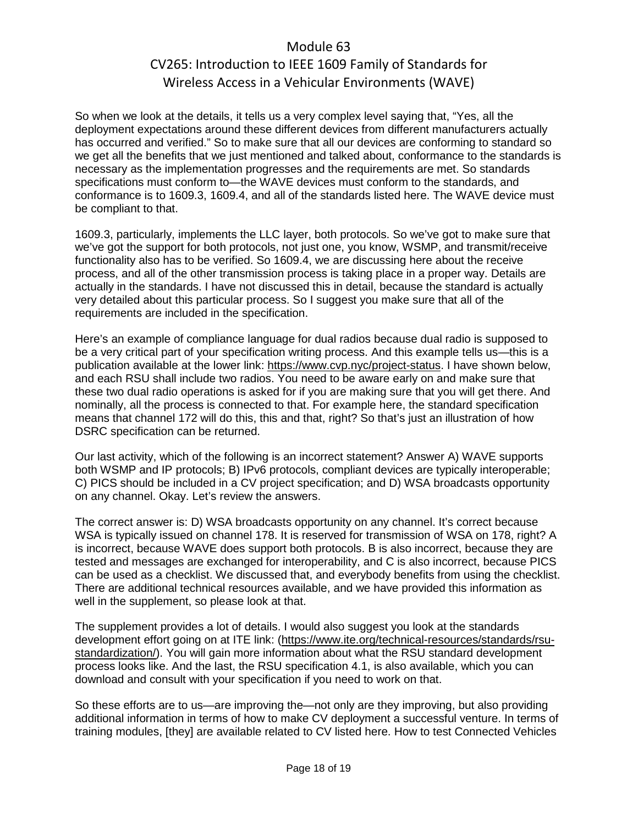So when we look at the details, it tells us a very complex level saying that, "Yes, all the deployment expectations around these different devices from different manufacturers actually has occurred and verified." So to make sure that all our devices are conforming to standard so we get all the benefits that we just mentioned and talked about, conformance to the standards is necessary as the implementation progresses and the requirements are met. So standards specifications must conform to—the WAVE devices must conform to the standards, and conformance is to 1609.3, 1609.4, and all of the standards listed here. The WAVE device must be compliant to that.

1609.3, particularly, implements the LLC layer, both protocols. So we've got to make sure that we've got the support for both protocols, not just one, you know, WSMP, and transmit/receive functionality also has to be verified. So 1609.4, we are discussing here about the receive process, and all of the other transmission process is taking place in a proper way. Details are actually in the standards. I have not discussed this in detail, because the standard is actually very detailed about this particular process. So I suggest you make sure that all of the requirements are included in the specification.

Here's an example of compliance language for dual radios because dual radio is supposed to be a very critical part of your specification writing process. And this example tells us—this is a publication available at the lower link: [https://www.cvp.nyc/project-status.](https://www.cvp.nyc/project-status) I have shown below, and each RSU shall include two radios. You need to be aware early on and make sure that these two dual radio operations is asked for if you are making sure that you will get there. And nominally, all the process is connected to that. For example here, the standard specification means that channel 172 will do this, this and that, right? So that's just an illustration of how DSRC specification can be returned.

Our last activity, which of the following is an incorrect statement? Answer A) WAVE supports both WSMP and IP protocols; B) IPv6 protocols, compliant devices are typically interoperable; C) PICS should be included in a CV project specification; and D) WSA broadcasts opportunity on any channel. Okay. Let's review the answers.

The correct answer is: D) WSA broadcasts opportunity on any channel. It's correct because WSA is typically issued on channel 178. It is reserved for transmission of WSA on 178, right? A is incorrect, because WAVE does support both protocols. B is also incorrect, because they are tested and messages are exchanged for interoperability, and C is also incorrect, because PICS can be used as a checklist. We discussed that, and everybody benefits from using the checklist. There are additional technical resources available, and we have provided this information as well in the supplement, so please look at that.

The supplement provides a lot of details. I would also suggest you look at the standards development effort going on at ITE link: [\(https://www.ite.org/technical-resources/standards/rsu](https://www.ite.org/technical-resources/standards/rsu-standardization/)[standardization/\)](https://www.ite.org/technical-resources/standards/rsu-standardization/). You will gain more information about what the RSU standard development process looks like. And the last, the RSU specification 4.1, is also available, which you can download and consult with your specification if you need to work on that.

So these efforts are to us—are improving the—not only are they improving, but also providing additional information in terms of how to make CV deployment a successful venture. In terms of training modules, [they] are available related to CV listed here. How to test Connected Vehicles